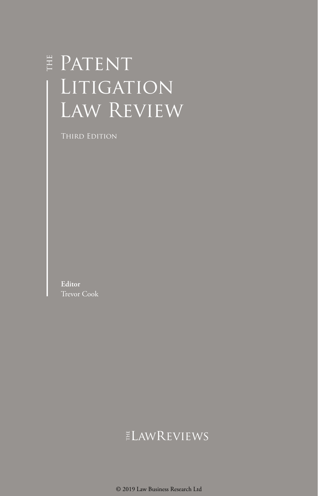# E PATENT LITIGATION Law Review

Third Edition

**Editor** Trevor Cook

### ELAWREVIEWS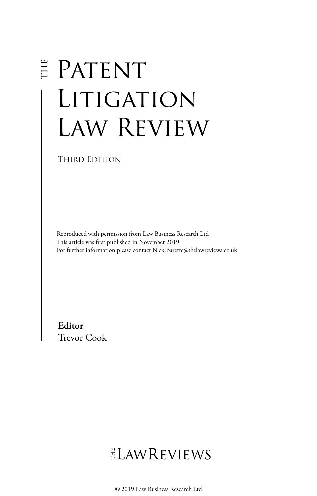# E PATENT LITIGATION Law Review

THIRD EDITION

Reproduced with permission from Law Business Research Ltd This article was first published in November 2019 For further information please contact Nick.Barette@thelawreviews.co.uk

**Editor** Trevor Cook

# ELAWREVIEWS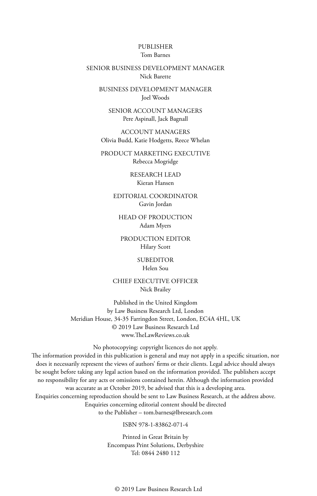#### PUBLISHER Tom Barnes

#### SENIOR BUSINESS DEVELOPMENT MANAGER Nick Barette

BUSINESS DEVELOPMENT MANAGER Joel Woods

SENIOR ACCOUNT MANAGERS Pere Aspinall, Jack Bagnall

ACCOUNT MANAGERS Olivia Budd, Katie Hodgetts, Reece Whelan

PRODUCT MARKETING EXECUTIVE Rebecca Mogridge

> RESEARCH LEAD Kieran Hansen

EDITORIAL COORDINATOR Gavin Jordan

HEAD OF PRODUCTION Adam Myers

PRODUCTION EDITOR Hilary Scott

> SUBEDITOR Helen Sou

CHIEF EXECUTIVE OFFICER Nick Brailey

Published in the United Kingdom by Law Business Research Ltd, London Meridian House, 34-35 Farringdon Street, London, EC4A 4HL, UK © 2019 Law Business Research Ltd www.TheLawReviews.co.uk

No photocopying: copyright licences do not apply. The information provided in this publication is general and may not apply in a specific situation, nor does it necessarily represent the views of authors' firms or their clients. Legal advice should always be sought before taking any legal action based on the information provided. The publishers accept no responsibility for any acts or omissions contained herein. Although the information provided was accurate as at October 2019, be advised that this is a developing area. Enquiries concerning reproduction should be sent to Law Business Research, at the address above. Enquiries concerning editorial content should be directed to the Publisher – tom.barnes@lbresearch.com

ISBN 978-1-83862-071-4

Printed in Great Britain by Encompass Print Solutions, Derbyshire Tel: 0844 2480 112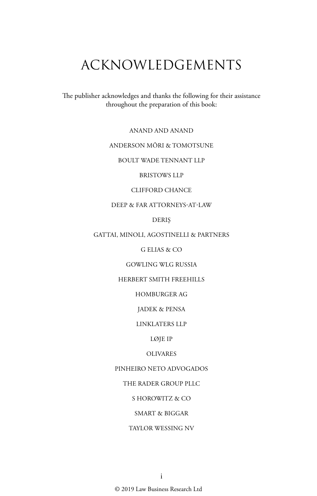# ACKNOWLEDGEMENTS

The publisher acknowledges and thanks the following for their assistance throughout the preparation of this book:

ANAND AND ANAND

#### ANDERSON MŌRI & TOMOTSUNE

BOULT WADE TENNANT LLP

BRISTOWS LLP

#### CLIFFORD CHANCE

DEEP & FAR ATTORNEYS-AT-LAW

DERIŞ

GATTAI, MINOLI, AGOSTINELLI & PARTNERS

G ELIAS & CO

GOWLING WLG RUSSIA

HERBERT SMITH FREEHILLS

HOMBURGER AG

JADEK & PENSA

LINKLATERS LLP

LØJE IP

#### OLIVARES

PINHEIRO NETO ADVOGADOS

THE RADER GROUP PLLC

S HOROWITZ & CO

SMART & BIGGAR

TAYLOR WESSING NV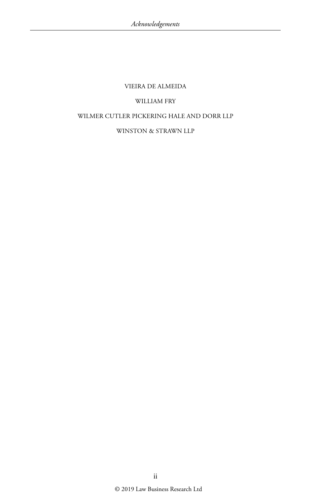#### VIEIRA DE ALMEIDA

#### WILLIAM FRY

#### WILMER CUTLER PICKERING HALE AND DORR LLP

#### WINSTON & STRAWN LLP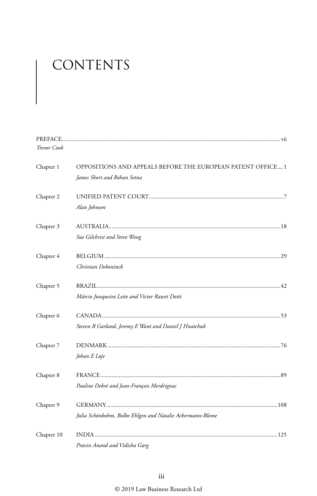# CONTENTS

| Trevor Cook |                                                             |
|-------------|-------------------------------------------------------------|
| Chapter 1   | OPPOSITIONS AND APPEALS BEFORE THE EUROPEAN PATENT OFFICE 1 |
|             | James Short and Rohan Setna                                 |
| Chapter 2   |                                                             |
|             | Alan Johnson                                                |
| Chapter 3   |                                                             |
|             | Sue Gilchrist and Steve Wong                                |
| Chapter 4   |                                                             |
|             | Christian Dekoninck                                         |
| Chapter 5   |                                                             |
|             | Márcio Junqueira Leite and Victor Rawet Dotti               |
| Chapter 6   |                                                             |
|             | Steven B Garland, Jeremy E Want and Daniel J Hnatchuk       |
| Chapter 7   |                                                             |
|             | Johan E Løje                                                |
| Chapter 8   |                                                             |
|             | Pauline Debré and Jean-François Merdrignac                  |
| Chapter 9   |                                                             |
|             | Julia Schönbohm, Bolko Ehlgen and Natalie Ackermann-Blome   |
| Chapter 10  |                                                             |
|             | Pravin Anand and Vidisha Garg                               |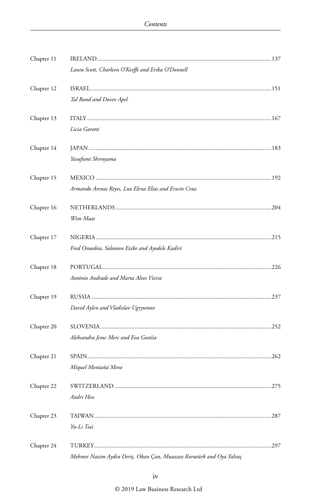| Chapter 11 |                                                                     |  |
|------------|---------------------------------------------------------------------|--|
|            | Laura Scott, Charleen O'Keeffe and Erika O'Donnell                  |  |
| Chapter 12 |                                                                     |  |
|            | Tal Band and Dovev Apel                                             |  |
| Chapter 13 |                                                                     |  |
|            | Licia Garotti                                                       |  |
| Chapter 14 |                                                                     |  |
|            | Yasufumi Shiroyama                                                  |  |
| Chapter 15 |                                                                     |  |
|            | Armando Arenas Reyes, Luz Elena Elías and Erwin Cruz                |  |
| Chapter 16 |                                                                     |  |
|            | Wim Maas                                                            |  |
| Chapter 17 |                                                                     |  |
|            | Fred Onuobia, Solomon Ezike and Ayodele Kadiri                      |  |
| Chapter 18 |                                                                     |  |
|            | António Andrade and Marta Alves Vieira                              |  |
| Chapter 19 |                                                                     |  |
|            | David Aylen and Vladislav Ugryumov                                  |  |
| Chapter 20 |                                                                     |  |
|            | Aleksandra Jemc Merc and Eva Gostiša                                |  |
| Chapter 21 |                                                                     |  |
|            | Miquel Montañá Mora                                                 |  |
| Chapter 22 |                                                                     |  |
|            | Andri Hess                                                          |  |
| Chapter 23 |                                                                     |  |
|            | Yu-Li Tsai                                                          |  |
| Chapter 24 |                                                                     |  |
|            | Mehmet Nazim Aydin Deris, Okan Can, Muazzez Korutürk and Oya Yalvac |  |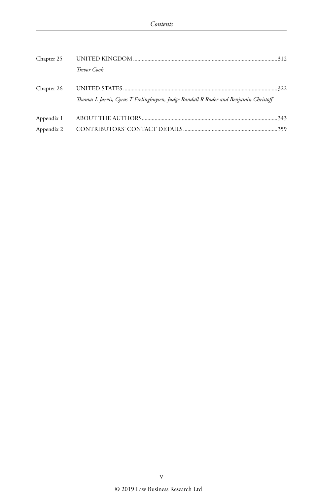| Chapter 25 |                                                                                      |  |
|------------|--------------------------------------------------------------------------------------|--|
|            | Trevor Cook                                                                          |  |
| Chapter 26 | Thomas L Jarvis, Cyrus T Frelinghuysen, Judge Randall R Rader and Benjamin Christoff |  |
| Appendix 1 |                                                                                      |  |
|            |                                                                                      |  |
| Appendix 2 |                                                                                      |  |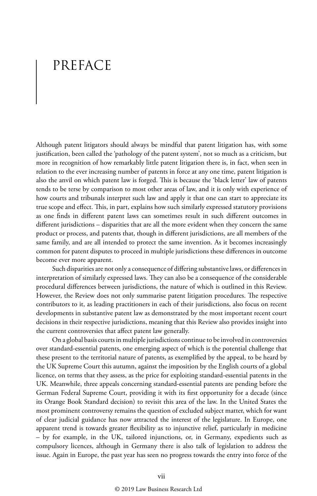## PREFACE

Although patent litigators should always be mindful that patent litigation has, with some justification, been called the 'pathology of the patent system', not so much as a criticism, but more in recognition of how remarkably little patent litigation there is, in fact, when seen in relation to the ever increasing number of patents in force at any one time, patent litigation is also the anvil on which patent law is forged. This is because the 'black letter' law of patents tends to be terse by comparison to most other areas of law, and it is only with experience of how courts and tribunals interpret such law and apply it that one can start to appreciate its true scope and effect. This, in part, explains how such similarly expressed statutory provisions as one finds in different patent laws can sometimes result in such different outcomes in different jurisdictions – disparities that are all the more evident when they concern the same product or process, and patents that, though in different jurisdictions, are all members of the same family, and are all intended to protect the same invention. As it becomes increasingly common for patent disputes to proceed in multiple jurisdictions these differences in outcome become ever more apparent.

Such disparities are not only a consequence of differing substantive laws, or differences in interpretation of similarly expressed laws. They can also be a consequence of the considerable procedural differences between jurisdictions, the nature of which is outlined in this Review. However, the Review does not only summarise patent litigation procedures. The respective contributors to it, as leading practitioners in each of their jurisdictions, also focus on recent developments in substantive patent law as demonstrated by the most important recent court decisions in their respective jurisdictions, meaning that this Review also provides insight into the current controversies that affect patent law generally.

On a global basis courts in multiple jurisdictions continue to be involved in controversies over standard-essential patents, one emerging aspect of which is the potential challenge that these present to the territorial nature of patents, as exemplified by the appeal, to be heard by the UK Supreme Court this autumn, against the imposition by the English courts of a global licence, on terms that they assess, as the price for exploiting standard-essential patents in the UK. Meanwhile, three appeals concerning standard-essential patents are pending before the German Federal Supreme Court, providing it with its first opportunity for a decade (since its Orange Book Standard decision) to revisit this area of the law. In the United States the most prominent controversy remains the question of excluded subject matter, which for want of clear judicial guidance has now attracted the interest of the legislature. In Europe, one apparent trend is towards greater flexibility as to injunctive relief, particularly in medicine – by for example, in the UK, tailored injunctions, or, in Germany, expedients such as compulsory licences, although in Germany there is also talk of legislation to address the issue. Again in Europe, the past year has seen no progress towards the entry into force of the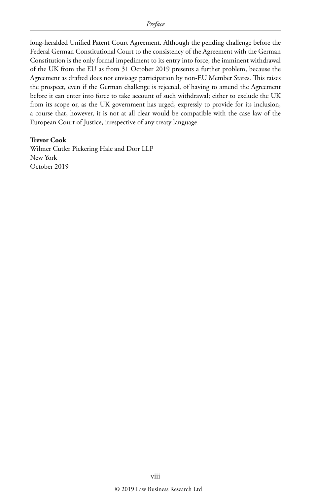long-heralded Unified Patent Court Agreement. Although the pending challenge before the Federal German Constitutional Court to the consistency of the Agreement with the German Constitution is the only formal impediment to its entry into force, the imminent withdrawal of the UK from the EU as from 31 October 2019 presents a further problem, because the Agreement as drafted does not envisage participation by non-EU Member States. This raises the prospect, even if the German challenge is rejected, of having to amend the Agreement before it can enter into force to take account of such withdrawal; either to exclude the UK from its scope or, as the UK government has urged, expressly to provide for its inclusion, a course that, however, it is not at all clear would be compatible with the case law of the European Court of Justice, irrespective of any treaty language.

#### **Trevor Cook**

Wilmer Cutler Pickering Hale and Dorr LLP New York October 2019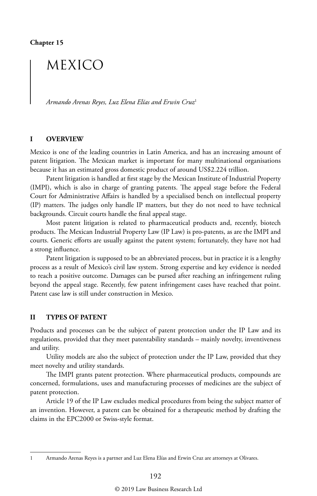## MEXICO

*Armando Arenas Reyes, Luz Elena Elías and Erwin Cruz*<sup>1</sup>

#### **I OVERVIEW**

Mexico is one of the leading countries in Latin America, and has an increasing amount of patent litigation. The Mexican market is important for many multinational organisations because it has an estimated gross domestic product of around US\$2.224 trillion.

Patent litigation is handled at first stage by the Mexican Institute of Industrial Property (IMPI), which is also in charge of granting patents. The appeal stage before the Federal Court for Administrative Affairs is handled by a specialised bench on intellectual property (IP) matters. The judges only handle IP matters, but they do not need to have technical backgrounds. Circuit courts handle the final appeal stage.

Most patent litigation is related to pharmaceutical products and, recently, biotech products. The Mexican Industrial Property Law (IP Law) is pro-patents, as are the IMPI and courts. Generic efforts are usually against the patent system; fortunately, they have not had a strong influence.

Patent litigation is supposed to be an abbreviated process, but in practice it is a lengthy process as a result of Mexico's civil law system. Strong expertise and key evidence is needed to reach a positive outcome. Damages can be pursed after reaching an infringement ruling beyond the appeal stage. Recently, few patent infringement cases have reached that point. Patent case law is still under construction in Mexico.

#### **II TYPES OF PATENT**

Products and processes can be the subject of patent protection under the IP Law and its regulations, provided that they meet patentability standards – mainly novelty, inventiveness and utility.

Utility models are also the subject of protection under the IP Law, provided that they meet novelty and utility standards.

The IMPI grants patent protection. Where pharmaceutical products, compounds are concerned, formulations, uses and manufacturing processes of medicines are the subject of patent protection.

Article 19 of the IP Law excludes medical procedures from being the subject matter of an invention. However, a patent can be obtained for a therapeutic method by drafting the claims in the EPC2000 or Swiss-style format.

1 Armando Arenas Reyes is a partner and Luz Elena Elías and Erwin Cruz are attorneys at Olivares.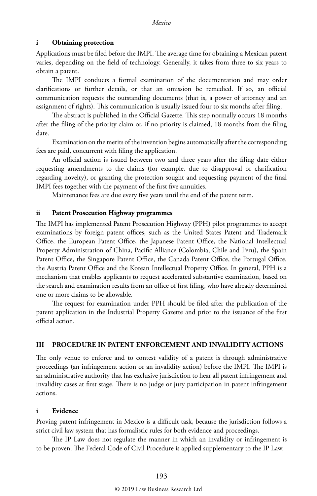#### **i Obtaining protection**

Applications must be filed before the IMPI. The average time for obtaining a Mexican patent varies, depending on the field of technology. Generally, it takes from three to six years to obtain a patent.

The IMPI conducts a formal examination of the documentation and may order clarifications or further details, or that an omission be remedied. If so, an official communication requests the outstanding documents (that is, a power of attorney and an assignment of rights). This communication is usually issued four to six months after filing.

The abstract is published in the Official Gazette. This step normally occurs 18 months after the filing of the priority claim or, if no priority is claimed, 18 months from the filing date.

Examination on the merits of the invention begins automatically after the corresponding fees are paid, concurrent with filing the application.

An official action is issued between two and three years after the filing date either requesting amendments to the claims (for example, due to disapproval or clarification regarding novelty), or granting the protection sought and requesting payment of the final IMPI fees together with the payment of the first five annuities.

Maintenance fees are due every five years until the end of the patent term.

#### **ii Patent Prosecution Highway programmes**

The IMPI has implemented Patent Prosecution Highway (PPH) pilot programmes to accept examinations by foreign patent offices, such as the United States Patent and Trademark Office, the European Patent Office, the Japanese Patent Office, the National Intellectual Property Administration of China, Pacific Alliance (Colombia, Chile and Peru), the Spain Patent Office, the Singapore Patent Office, the Canada Patent Office, the Portugal Office, the Austria Patent Office and the Korean Intellectual Property Office. In general, PPH is a mechanism that enables applicants to request accelerated substantive examination, based on the search and examination results from an office of first filing, who have already determined one or more claims to be allowable.

The request for examination under PPH should be filed after the publication of the patent application in the Industrial Property Gazette and prior to the issuance of the first official action.

#### **III PROCEDURE IN PATENT ENFORCEMENT AND INVALIDITY ACTIONS**

The only venue to enforce and to contest validity of a patent is through administrative proceedings (an infringement action or an invalidity action) before the IMPI. The IMPI is an administrative authority that has exclusive jurisdiction to hear all patent infringement and invalidity cases at first stage. There is no judge or jury participation in patent infringement actions.

#### **i Evidence**

Proving patent infringement in Mexico is a difficult task, because the jurisdiction follows a strict civil law system that has formalistic rules for both evidence and proceedings.

The IP Law does not regulate the manner in which an invalidity or infringement is to be proven. The Federal Code of Civil Procedure is applied supplementary to the IP Law.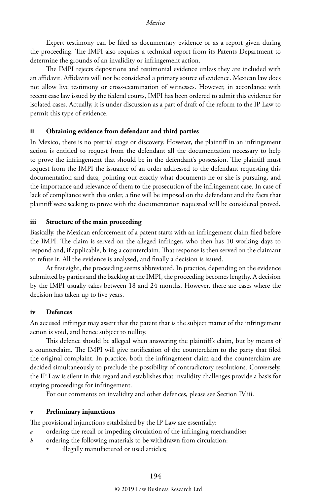Expert testimony can be filed as documentary evidence or as a report given during the proceeding. The IMPI also requires a technical report from its Patents Department to determine the grounds of an invalidity or infringement action.

The IMPI rejects depositions and testimonial evidence unless they are included with an affidavit. Affidavits will not be considered a primary source of evidence. Mexican law does not allow live testimony or cross-examination of witnesses. However, in accordance with recent case law issued by the federal courts, IMPI has been ordered to admit this evidence for isolated cases. Actually, it is under discussion as a part of draft of the reform to the IP Law to permit this type of evidence.

#### **ii Obtaining evidence from defendant and third parties**

In Mexico, there is no pretrial stage or discovery. However, the plaintiff in an infringement action is entitled to request from the defendant all the documentation necessary to help to prove the infringement that should be in the defendant's possession. The plaintiff must request from the IMPI the issuance of an order addressed to the defendant requesting this documentation and data, pointing out exactly what documents he or she is pursuing, and the importance and relevance of them to the prosecution of the infringement case. In case of lack of compliance with this order, a fine will be imposed on the defendant and the facts that plaintiff were seeking to prove with the documentation requested will be considered proved.

#### **iii Structure of the main proceeding**

Basically, the Mexican enforcement of a patent starts with an infringement claim filed before the IMPI. The claim is served on the alleged infringer, who then has 10 working days to respond and, if applicable, bring a counterclaim. That response is then served on the claimant to refute it. All the evidence is analysed, and finally a decision is issued.

At first sight, the proceeding seems abbreviated. In practice, depending on the evidence submitted by parties and the backlog at the IMPI, the proceeding becomes lengthy. A decision by the IMPI usually takes between 18 and 24 months. However, there are cases where the decision has taken up to five years.

#### **iv Defences**

An accused infringer may assert that the patent that is the subject matter of the infringement action is void, and hence subject to nullity.

This defence should be alleged when answering the plaintiff's claim, but by means of a counterclaim. The IMPI will give notification of the counterclaim to the party that filed the original complaint. In practice, both the infringement claim and the counterclaim are decided simultaneously to preclude the possibility of contradictory resolutions. Conversely, the IP Law is silent in this regard and establishes that invalidity challenges provide a basis for staying proceedings for infringement.

For our comments on invalidity and other defences, please see Section IV.iii.

#### **v Preliminary injunctions**

The provisional injunctions established by the IP Law are essentially:

- *a* ordering the recall or impeding circulation of the infringing merchandise;
- *b* ordering the following materials to be withdrawn from circulation:
	- illegally manufactured or used articles;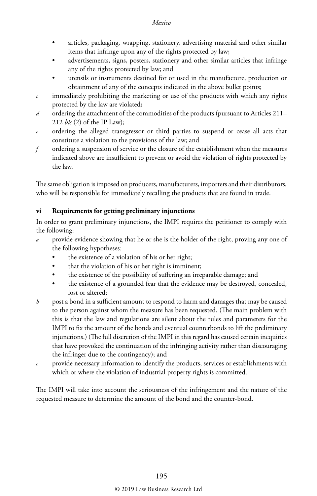- articles, packaging, wrapping, stationery, advertising material and other similar items that infringe upon any of the rights protected by law;
- advertisements, signs, posters, stationery and other similar articles that infringe any of the rights protected by law; and
- utensils or instruments destined for or used in the manufacture, production or obtainment of any of the concepts indicated in the above bullet points;
- $c$  immediately prohibiting the marketing or use of the products with which any rights protected by the law are violated;
- *d* ordering the attachment of the commodities of the products (pursuant to Articles 211– 212 *bis* (2) of the IP Law);
- ordering the alleged transgressor or third parties to suspend or cease all acts that constitute a violation to the provisions of the law; and
- *f* ordering a suspension of service or the closure of the establishment when the measures indicated above are insufficient to prevent or avoid the violation of rights protected by the law.

The same obligation is imposed on producers, manufacturers, importers and their distributors, who will be responsible for immediately recalling the products that are found in trade.

#### **vi Requirements for getting preliminary injunctions**

In order to grant preliminary injunctions, the IMPI requires the petitioner to comply with the following:

- provide evidence showing that he or she is the holder of the right, proving any one of the following hypotheses:
	- the existence of a violation of his or her right;
	- that the violation of his or her right is imminent;
	- the existence of the possibility of suffering an irreparable damage; and
	- the existence of a grounded fear that the evidence may be destroyed, concealed, lost or altered;
- *b* post a bond in a sufficient amount to respond to harm and damages that may be caused to the person against whom the measure has been requested. (The main problem with this is that the law and regulations are silent about the rules and parameters for the IMPI to fix the amount of the bonds and eventual counterbonds to lift the preliminary injunctions.) (The full discretion of the IMPI in this regard has caused certain inequities that have provoked the continuation of the infringing activity rather than discouraging the infringer due to the contingency); and
- *c* provide necessary information to identify the products, services or establishments with which or where the violation of industrial property rights is committed.

The IMPI will take into account the seriousness of the infringement and the nature of the requested measure to determine the amount of the bond and the counter-bond.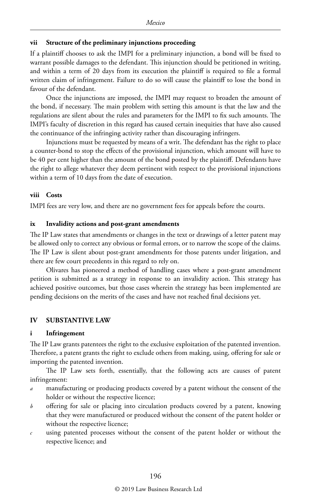#### **vii Structure of the preliminary injunctions proceeding**

If a plaintiff chooses to ask the IMPI for a preliminary injunction, a bond will be fixed to warrant possible damages to the defendant. This injunction should be petitioned in writing, and within a term of 20 days from its execution the plaintiff is required to file a formal written claim of infringement. Failure to do so will cause the plaintiff to lose the bond in favour of the defendant.

Once the injunctions are imposed, the IMPI may request to broaden the amount of the bond, if necessary. The main problem with setting this amount is that the law and the regulations are silent about the rules and parameters for the IMPI to fix such amounts. The IMPI's faculty of discretion in this regard has caused certain inequities that have also caused the continuance of the infringing activity rather than discouraging infringers.

Injunctions must be requested by means of a writ. The defendant has the right to place a counter-bond to stop the effects of the provisional injunction, which amount will have to be 40 per cent higher than the amount of the bond posted by the plaintiff. Defendants have the right to allege whatever they deem pertinent with respect to the provisional injunctions within a term of 10 days from the date of execution.

#### **viii Costs**

IMPI fees are very low, and there are no government fees for appeals before the courts.

#### **ix Invalidity actions and post-grant amendments**

The IP Law states that amendments or changes in the text or drawings of a letter patent may be allowed only to correct any obvious or formal errors, or to narrow the scope of the claims. The IP Law is silent about post-grant amendments for those patents under litigation, and there are few court precedents in this regard to rely on.

Olivares has pioneered a method of handling cases where a post-grant amendment petition is submitted as a strategy in response to an invalidity action. This strategy has achieved positive outcomes, but those cases wherein the strategy has been implemented are pending decisions on the merits of the cases and have not reached final decisions yet.

#### **IV SUBSTANTIVE LAW**

#### **i Infringement**

The IP Law grants patentees the right to the exclusive exploitation of the patented invention. Therefore, a patent grants the right to exclude others from making, using, offering for sale or importing the patented invention.

The IP Law sets forth, essentially, that the following acts are causes of patent infringement:

- *a* manufacturing or producing products covered by a patent without the consent of the holder or without the respective licence;
- *b* offering for sale or placing into circulation products covered by a patent, knowing that they were manufactured or produced without the consent of the patent holder or without the respective licence;
- *c* using patented processes without the consent of the patent holder or without the respective licence; and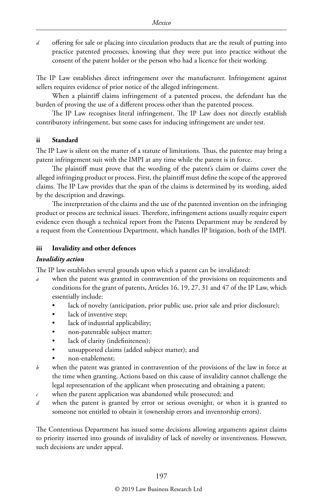*d* offering for sale or placing into circulation products that are the result of putting into practice patented processes, knowing that they were put into practice without the consent of the patent holder or the person who had a licence for their working.

The IP Law establishes direct infringement over the manufacturer. Infringement against sellers requires evidence of prior notice of the alleged infringement.

When a plaintiff claims infringement of a patented process, the defendant has the burden of proving the use of a different process other than the patented process.

The IP Law recognises literal infringement. The IP Law does not directly establish contributory infringement, but some cases for inducing infringement are under test.

#### **ii Standard**

The IP Law is silent on the matter of a statute of limitations. Thus, the patentee may bring a patent infringement suit with the IMPI at any time while the patent is in force.

The plaintiff must prove that the wording of the patent's claim or claims cover the alleged infringing product or process. First, the plaintiff must define the scope of the approved claims. The IP Law provides that the span of the claims is determined by its wording, aided by the description and drawings.

The interpretation of the claims and the use of the patented invention on the infringing product or process are technical issues. Therefore, infringement actions usually require expert evidence even though a technical report from the Patents Department may be rendered by a request from the Contentious Department, which handles IP litigation, both of the IMPI.

#### **iii Invalidity and other defences**

#### *Invalidity action*

The IP law establishes several grounds upon which a patent can be invalidated:

- when the patent was granted in contravention of the provisions on requirements and conditions for the grant of patents, Articles 16, 19, 27, 31 and 47 of the IP Law, which essentially include:
	- lack of novelty (anticipation, prior public use, prior sale and prior disclosure);
	- lack of inventive step;
	- lack of industrial applicability;
	- non-patentable subject matter;
	- lack of clarity (indefiniteness);
	- unsupported claims (added subject matter); and
	- non-enablement;
- *b* when the patent was granted in contravention of the provisions of the law in force at the time when granting. Actions based on this cause of invalidity cannot challenge the legal representation of the applicant when prosecuting and obtaining a patent;
- *c* when the patent application was abandoned while prosecuted; and
- *d* when the patent is granted by error or serious oversight, or when it is granted to someone not entitled to obtain it (ownership errors and inventorship errors).

The Contentious Department has issued some decisions allowing arguments against claims to priority inserted into grounds of invalidity of lack of novelty or inventiveness. However, such decisions are under appeal.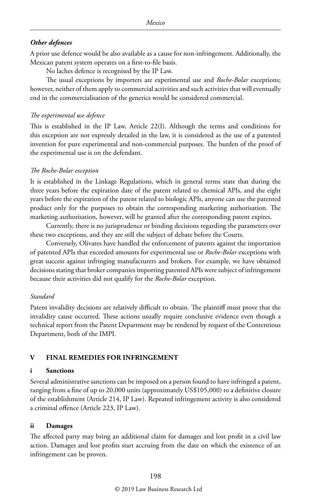#### *Other defences*

A prior use defence would be also available as a cause for non-infringement. Additionally, the Mexican patent system operates on a first-to-file basis.

No laches defence is recognised by the IP Law.

The usual exceptions by importers are experimental use and *Roche-Bolar* exceptions; however, neither of them apply to commercial activities and such activities that will eventually end in the commercialisation of the generics would be considered commercial.

#### *The experimental use defence*

This is established in the IP Law, Article 22(I). Although the terms and conditions for this exception are not expressly detailed in the law, it is considered as the use of a patented invention for pure experimental and non-commercial purposes. The burden of the proof of the experimental use is on the defendant.

#### *The Roche-Bolar exception*

It is established in the Linkage Regulations, which in general terms state that during the three years before the expiration date of the patent related to chemical APIs, and the eight years before the expiration of the patent related to biologic APIs, anyone can use the patented product only for the purposes to obtain the corresponding marketing authorisation. The marketing authorisation, however, will be granted after the corresponding patent expires.

Currently, there is no jurisprudence or binding decisions regarding the parameters over these two exceptions, and they are still the subject of debate before the Courts.

Conversely, Olivares have handled the enforcement of patents against the importation of patented APIs that exceeded amounts for experimental use or *Roche-Bolar* exceptions with great success against infringing manufacturers and brokers. For example, we have obtained decisions stating that broker companies importing patented APIs were subject of infringement because their activities did not qualify for the *Roche-Bolar* exception.

#### *Standard*

Patent invalidity decisions are relatively difficult to obtain. The plaintiff must prove that the invalidity cause occurred. These actions usually require conclusive evidence even though a technical report from the Patent Department may be rendered by request of the Contentious Department, both of the IMPI.

#### **V FINAL REMEDIES FOR INFRINGEMENT**

#### **i Sanctions**

Several administrative sanctions can be imposed on a person found to have infringed a patent, ranging from a fine of up to 20,000 units (approximately US\$105,000) to a definitive closure of the establishment (Article 214, IP Law). Repeated infringement activity is also considered a criminal offence (Article 223, IP Law).

#### **ii Damages**

The affected party may bring an additional claim for damages and lost profit in a civil law action. Damages and lost profits start accruing from the date on which the existence of an infringement can be proven.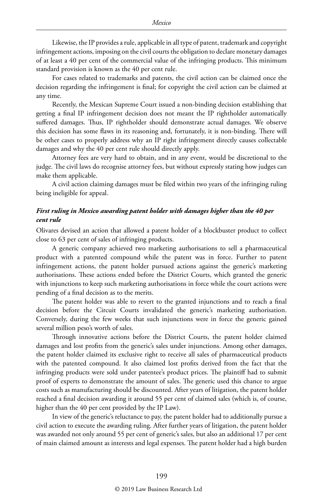Likewise, the IP provides a rule, applicable in all type of patent, trademark and copyright infringement actions, imposing on the civil courts the obligation to declare monetary damages of at least a 40 per cent of the commercial value of the infringing products. This minimum standard provision is known as the 40 per cent rule.

For cases related to trademarks and patents, the civil action can be claimed once the decision regarding the infringement is final; for copyright the civil action can be claimed at any time.

Recently, the Mexican Supreme Court issued a non-binding decision establishing that getting a final IP infringement decision does not meant the IP rightholder automatically suffered damages. Thus, IP rightholder should demonstrate actual damages. We observe this decision has some flaws in its reasoning and, fortunately, it is non-binding. There will be other cases to properly address why an IP right infringement directly causes collectable damages and why the 40 per cent rule should directly apply.

Attorney fees are very hard to obtain, and in any event, would be discretional to the judge. The civil laws do recognise attorney fees, but without expressly stating how judges can make them applicable.

A civil action claiming damages must be filed within two years of the infringing ruling being ineligible for appeal.

#### *First ruling in Mexico awarding patent holder with damages higher than the 40 per cent rule*

Olivares devised an action that allowed a patent holder of a blockbuster product to collect close to 63 per cent of sales of infringing products.

A generic company achieved two marketing authorisations to sell a pharmaceutical product with a patented compound while the patent was in force. Further to patent infringement actions, the patent holder pursued actions against the generic's marketing authorisations. These actions ended before the District Courts, which granted the generic with injunctions to keep such marketing authorisations in force while the court actions were pending of a final decision as to the merits.

The patent holder was able to revert to the granted injunctions and to reach a final decision before the Circuit Courts invalidated the generic's marketing authorisation. Conversely, during the few weeks that such injunctions were in force the generic gained several million peso's worth of sales.

Through innovative actions before the District Courts, the patent holder claimed damages and lost profits from the generic's sales under injunctions. Among other damages, the patent holder claimed its exclusive right to receive all sales of pharmaceutical products with the patented compound. It also claimed lost profits derived from the fact that the infringing products were sold under patentee's product prices. The plaintiff had to submit proof of experts to demonstrate the amount of sales. The generic used this chance to argue costs such as manufacturing should be discounted. After years of litigation, the patent holder reached a final decision awarding it around 55 per cent of claimed sales (which is, of course, higher than the 40 per cent provided by the IP Law).

In view of the generic's reluctance to pay, the patent holder had to additionally pursue a civil action to execute the awarding ruling. After further years of litigation, the patent holder was awarded not only around 55 per cent of generic's sales, but also an additional 17 per cent of main claimed amount as interests and legal expenses. The patent holder had a high burden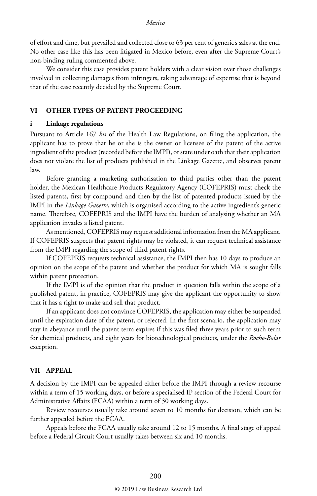of effort and time, but prevailed and collected close to 63 per cent of generic's sales at the end. No other case like this has been litigated in Mexico before, even after the Supreme Court's non-binding ruling commented above.

We consider this case provides patent holders with a clear vision over those challenges involved in collecting damages from infringers, taking advantage of expertise that is beyond that of the case recently decided by the Supreme Court.

#### **VI OTHER TYPES OF PATENT PROCEEDING**

#### **i Linkage regulations**

Pursuant to Article 167 *bis* of the Health Law Regulations, on filing the application, the applicant has to prove that he or she is the owner or licensee of the patent of the active ingredient of the product (recorded before the IMPI), or state under oath that their application does not violate the list of products published in the Linkage Gazette, and observes patent law.

Before granting a marketing authorisation to third parties other than the patent holder, the Mexican Healthcare Products Regulatory Agency (COFEPRIS) must check the listed patents, first by compound and then by the list of patented products issued by the IMPI in the *Linkage Gazette*, which is organised according to the active ingredient's generic name. Therefore, COFEPRIS and the IMPI have the burden of analysing whether an MA application invades a listed patent.

As mentioned, COFEPRIS may request additional information from the MA applicant. If COFEPRIS suspects that patent rights may be violated, it can request technical assistance from the IMPI regarding the scope of third patent rights.

If COFEPRIS requests technical assistance, the IMPI then has 10 days to produce an opinion on the scope of the patent and whether the product for which MA is sought falls within patent protection.

If the IMPI is of the opinion that the product in question falls within the scope of a published patent, in practice, COFEPRIS may give the applicant the opportunity to show that it has a right to make and sell that product.

If an applicant does not convince COFEPRIS, the application may either be suspended until the expiration date of the patent, or rejected. In the first scenario, the application may stay in abeyance until the patent term expires if this was filed three years prior to such term for chemical products, and eight years for biotechnological products, under the *Roche-Bolar*  exception.

#### **VII APPEAL**

A decision by the IMPI can be appealed either before the IMPI through a review recourse within a term of 15 working days, or before a specialised IP section of the Federal Court for Administrative Affairs (FCAA) within a term of 30 working days.

Review recourses usually take around seven to 10 months for decision, which can be further appealed before the FCAA.

Appeals before the FCAA usually take around 12 to 15 months. A final stage of appeal before a Federal Circuit Court usually takes between six and 10 months.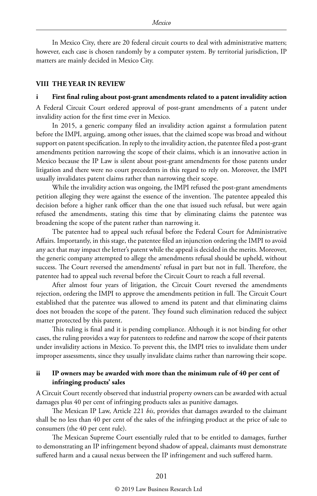In Mexico City, there are 20 federal circuit courts to deal with administrative matters; however, each case is chosen randomly by a computer system. By territorial jurisdiction, IP matters are mainly decided in Mexico City.

#### **VIII THE YEAR IN REVIEW**

#### **i First final ruling about post-grant amendments related to a patent invalidity action**

A Federal Circuit Court ordered approval of post-grant amendments of a patent under invalidity action for the first time ever in Mexico.

In 2015, a generic company filed an invalidity action against a formulation patent before the IMPI, arguing, among other issues, that the claimed scope was broad and without support on patent specification. In reply to the invalidity action, the patentee filed a post-grant amendments petition narrowing the scope of their claims, which is an innovative action in Mexico because the IP Law is silent about post-grant amendments for those patents under litigation and there were no court precedents in this regard to rely on. Moreover, the IMPI usually invalidates patent claims rather than narrowing their scope.

While the invalidity action was ongoing, the IMPI refused the post-grant amendments petition alleging they were against the essence of the invention. The patentee appealed this decision before a higher rank officer than the one that issued such refusal, but were again refused the amendments, stating this time that by eliminating claims the patentee was broadening the scope of the patent rather than narrowing it.

Tbe patentee had to appeal such refusal before the Federal Court for Administrative Affairs. Importantly, in this stage, the patentee filed an injunction ordering the IMPI to avoid any act that may impact the letter's patent while the appeal is decided in the merits. Moreover, the generic company attempted to allege the amendments refusal should be upheld, without success. The Court reversed the amendments' refusal in part but not in full. Therefore, the patentee had to appeal such reversal before the Circuit Court to reach a full reversal.

After almost four years of litigation, the Circuit Court reversed the amendments rejection, ordering the IMPI to approve the amendments petition in full. The Circuit Court established that the patentee was allowed to amend its patent and that eliminating claims does not broaden the scope of the patent. They found such elimination reduced the subject matter protected by this patent.

This ruling is final and it is pending compliance. Although it is not binding for other cases, the ruling provides a way for patentees to redefine and narrow the scope of their patents under invalidity actions in Mexico. To prevent this, the IMPI tries to invalidate them under improper assessments, since they usually invalidate claims rather than narrowing their scope.

#### **ii IP owners may be awarded with more than the minimum rule of 40 per cent of infringing products' sales**

A Circuit Court recently observed that industrial property owners can be awarded with actual damages plus 40 per cent of infringing products sales as punitive damages.

The Mexican IP Law, Article 221 *bis*, provides that damages awarded to the claimant shall be no less than 40 per cent of the sales of the infringing product at the price of sale to consumers (the 40 per cent rule).

The Mexican Supreme Court essentially ruled that to be entitled to damages, further to demonstrating an IP infringement beyond shadow of appeal, claimants must demonstrate suffered harm and a causal nexus between the IP infringement and such suffered harm.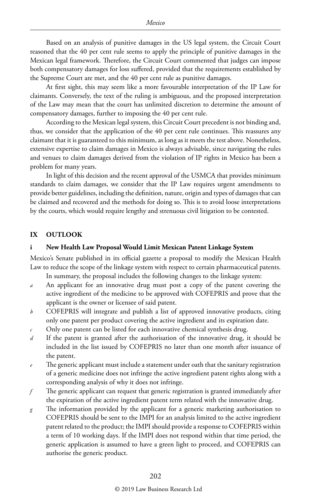Based on an analysis of punitive damages in the US legal system, the Circuit Court reasoned that the 40 per cent rule seems to apply the principle of punitive damages in the Mexican legal framework. Therefore, the Circuit Court commented that judges can impose both compensatory damages for loss suffered, provided that the requirements established by the Supreme Court are met, and the 40 per cent rule as punitive damages.

At first sight, this may seem like a more favourable interpretation of the IP Law for claimants. Conversely, the text of the ruling is ambiguous, and the proposed interpretation of the Law may mean that the court has unlimited discretion to determine the amount of compensatory damages, further to imposing the 40 per cent rule.

According to the Mexican legal system, this Circuit Court precedent is not binding and, thus, we consider that the application of the 40 per cent rule continues. This reassures any claimant that it is guaranteed to this minimum, as long as it meets the test above. Nonetheless, extensive expertise to claim damages in Mexico is always advisable, since navigating the rules and venues to claim damages derived from the violation of IP rights in Mexico has been a problem for many years.

In light of this decision and the recent approval of the USMCA that provides minimum standards to claim damages, we consider that the IP Law requires urgent amendments to provide better guidelines, including the definition, nature, origin and types of damages that can be claimed and recovered and the methods for doing so. This is to avoid loose interpretations by the courts, which would require lengthy and strenuous civil litigation to be contested.

#### **IX OUTLOOK**

#### **i New Health Law Proposal Would Limit Mexican Patent Linkage System**

Mexico's Senate published in its official gazette a proposal to modify the Mexican Health Law to reduce the scope of the linkage system with respect to certain pharmaceutical patents. In summary, the proposal includes the following changes to the linkage system:

- *a* An applicant for an innovative drug must post a copy of the patent covering the active ingredient of the medicine to be approved with COFEPRIS and prove that the applicant is the owner or licensee of said patent.
- *b* COFEPRIS will integrate and publish a list of approved innovative products, citing only one patent per product covering the active ingredient and its expiration date.
- *c* Only one patent can be listed for each innovative chemical synthesis drug.
- *d* If the patent is granted after the authorisation of the innovative drug, it should be included in the list issued by COFEPRIS no later than one month after issuance of the patent.
- The generic applicant must include a statement under oath that the sanitary registration of a generic medicine does not infringe the active ingredient patent rights along with a corresponding analysis of why it does not infringe.
- *f* The generic applicant can request that generic registration is granted immediately after the expiration of the active ingredient patent term related with the innovative drug.
- *g* The information provided by the applicant for a generic marketing authorisation to COFEPRIS should be sent to the IMPI for an analysis limited to the active ingredient patent related to the product; the IMPI should provide a response to COFEPRIS within a term of 10 working days. If the IMPI does not respond within that time period, the generic application is assumed to have a green light to proceed, and COFEPRIS can authorise the generic product.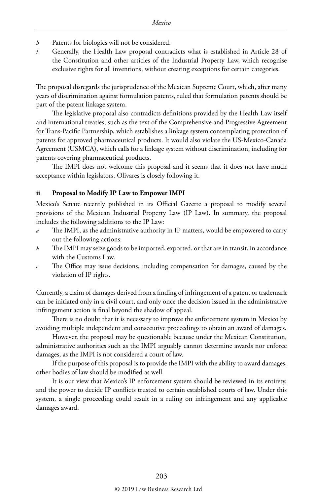- *h* Patents for biologics will not be considered.
- *i* Generally, the Health Law proposal contradicts what is established in Article 28 of the Constitution and other articles of the Industrial Property Law, which recognise exclusive rights for all inventions, without creating exceptions for certain categories.

The proposal disregards the jurisprudence of the Mexican Supreme Court, which, after many years of discrimination against formulation patents, ruled that formulation patents should be part of the patent linkage system.

The legislative proposal also contradicts definitions provided by the Health Law itself and international treaties, such as the text of the Comprehensive and Progressive Agreement for Trans-Pacific Partnership, which establishes a linkage system contemplating protection of patents for approved pharmaceutical products. It would also violate the US-Mexico-Canada Agreement (USMCA), which calls for a linkage system without discrimination, including for patents covering pharmaceutical products.

The IMPI does not welcome this proposal and it seems that it does not have much acceptance within legislators. Olivares is closely following it.

#### **ii Proposal to Modify IP Law to Empower IMPI**

Mexico's Senate recently published in its Official Gazette a proposal to modify several provisions of the Mexican Industrial Property Law (IP Law). In summary, the proposal includes the following additions to the IP Law:

- The IMPI, as the administrative authority in IP matters, would be empowered to carry out the following actions:
- *b* The IMPI may seize goods to be imported, exported, or that are in transit, in accordance with the Customs Law.
- *c* The Office may issue decisions, including compensation for damages, caused by the violation of IP rights.

Currently, a claim of damages derived from a finding of infringement of a patent or trademark can be initiated only in a civil court, and only once the decision issued in the administrative infringement action is final beyond the shadow of appeal.

There is no doubt that it is necessary to improve the enforcement system in Mexico by avoiding multiple independent and consecutive proceedings to obtain an award of damages.

However, the proposal may be questionable because under the Mexican Constitution, administrative authorities such as the IMPI arguably cannot determine awards nor enforce damages, as the IMPI is not considered a court of law.

If the purpose of this proposal is to provide the IMPI with the ability to award damages, other bodies of law should be modified as well.

It is our view that Mexico's IP enforcement system should be reviewed in its entirety, and the power to decide IP conflicts trusted to certain established courts of law. Under this system, a single proceeding could result in a ruling on infringement and any applicable damages award.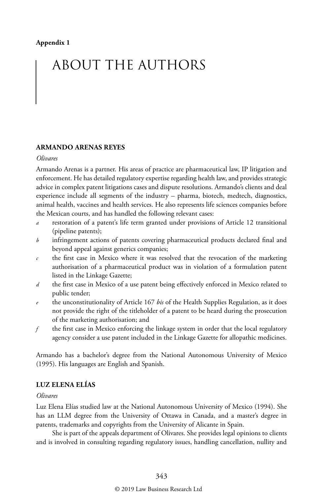# ABOUT THE AUTHORS

#### **ARMANDO ARENAS REYES**

#### *Olivares*

Armando Arenas is a partner. His areas of practice are pharmaceutical law, IP litigation and enforcement. He has detailed regulatory expertise regarding health law, and provides strategic advice in complex patent litigations cases and dispute resolutions. Armando's clients and deal experience include all segments of the industry – pharma, biotech, medtech, diagnostics, animal health, vaccines and health services. He also represents life sciences companies before the Mexican courts, and has handled the following relevant cases:

- restoration of a patent's life term granted under provisions of Article 12 transitional (pipeline patents);
- *b* infringement actions of patents covering pharmaceutical products declared final and beyond appeal against generics companies;
- *c* the first case in Mexico where it was resolved that the revocation of the marketing authorisation of a pharmaceutical product was in violation of a formulation patent listed in the Linkage Gazette;
- *d* the first case in Mexico of a use patent being effectively enforced in Mexico related to public tender;
- *e* the unconstitutionality of Article 167 *bis* of the Health Supplies Regulation, as it does not provide the right of the titleholder of a patent to be heard during the prosecution of the marketing authorisation; and
- *f* the first case in Mexico enforcing the linkage system in order that the local regulatory agency consider a use patent included in the Linkage Gazette for allopathic medicines.

Armando has a bachelor's degree from the National Autonomous University of Mexico (1995). His languages are English and Spanish.

#### **LUZ ELENA ELÍAS**

#### *Olivares*

Luz Elena Elías studied law at the National Autonomous University of Mexico (1994). She has an LLM degree from the University of Ottawa in Canada, and a master's degree in patents, trademarks and copyrights from the University of Alicante in Spain.

She is part of the appeals department of Olivares. She provides legal opinions to clients and is involved in consulting regarding regulatory issues, handling cancellation, nullity and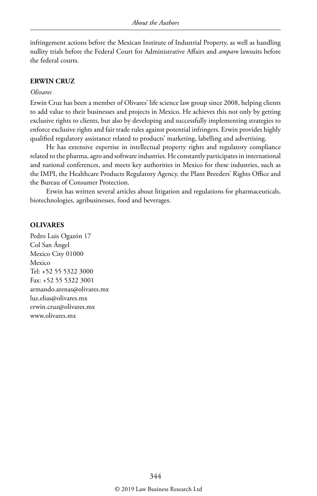infringement actions before the Mexican Institute of Industrial Property, as well as handling nullity trials before the Federal Court for Administrative Affairs and *amparo* lawsuits before the federal courts.

#### **ERWIN CRUZ**

#### *Olivares*

Erwin Cruz has been a member of Olivares' life science law group since 2008, helping clients to add value to their businesses and projects in Mexico. He achieves this not only by getting exclusive rights to clients, but also by developing and successfully implementing strategies to enforce exclusive rights and fair trade rules against potential infringers. Erwin provides highly qualified regulatory assistance related to products' marketing, labelling and advertising.

He has extensive expertise in intellectual property rights and regulatory compliance related to the pharma, agro and software industries. He constantly participates in international and national conferences, and meets key authorities in Mexico for these industries, such as the IMPI, the Healthcare Products Regulatory Agency, the Plant Breeders' Rights Office and the Bureau of Consumer Protection.

Erwin has written several articles about litigation and regulations for pharmaceuticals, biotechnologies, agribusinesses, food and beverages.

#### **OLIVARES**

Pedro Luis Ogazón 17 Col San Ángel Mexico City 01000 Mexico Tel: +52 55 5322 3000 Fax: +52 55 5322 3001 armando.arenas@olivares.mx luz.elias@olivares.mx erwin.cruz@olivares.mx www.olivares.mx